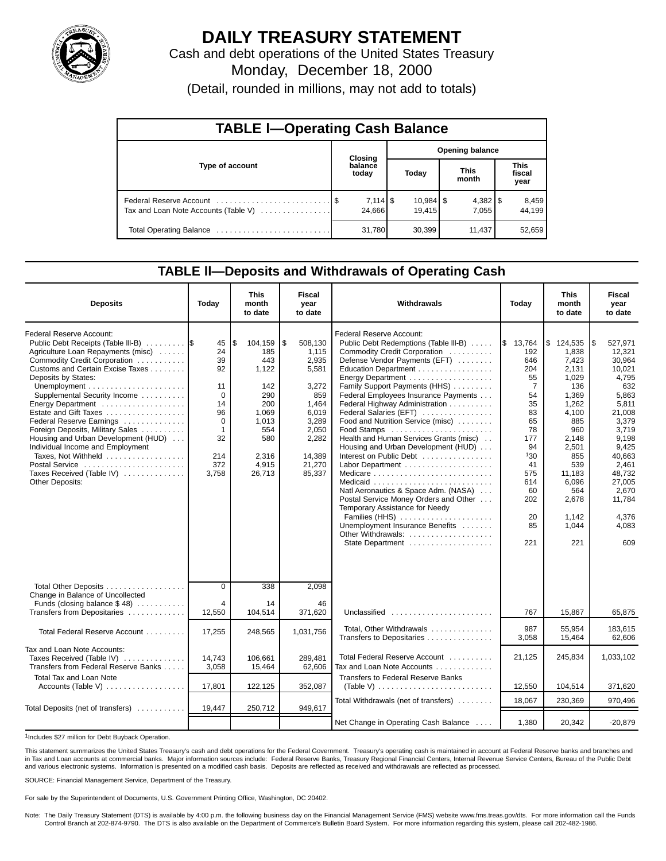

# **DAILY TREASURY STATEMENT**

Cash and debt operations of the United States Treasury Monday, December 18, 2000

(Detail, rounded in millions, may not add to totals)

| <b>TABLE I-Operating Cash Balance</b> |  |                      |                        |                                  |  |                       |  |                               |  |  |
|---------------------------------------|--|----------------------|------------------------|----------------------------------|--|-----------------------|--|-------------------------------|--|--|
|                                       |  | Closing              | <b>Opening balance</b> |                                  |  |                       |  |                               |  |  |
| Type of account                       |  | balance<br>today     |                        | Today                            |  | <b>This</b><br>month  |  | <b>This</b><br>fiscal<br>year |  |  |
| Tax and Loan Note Accounts (Table V)  |  | $7,114$ \$<br>24.666 |                        | $10,984$ $\frac{8}{3}$<br>19.415 |  | $4,382$   \$<br>7.055 |  | 8,459<br>44.199               |  |  |
|                                       |  | 31,780               |                        | 30,399                           |  | 11,437                |  | 52,659                        |  |  |

#### **TABLE ll—Deposits and Withdrawals of Operating Cash**

| <b>Deposits</b>                                                                                                                                                                                                                                                                                                                                                                                                                                                                                                   | Today                                                                                                          | <b>This</b><br>month<br>to date                                                                                        | Fiscal<br>vear<br>to date                                                                                                           | Withdrawals                                                                                                                                                                                                                                                                                                                                                                                                                                                                                                                                                                                                                                                                                                    | Today                                                                                                                                                       | <b>This</b><br>month<br>to date                                                                                                                                                                       | Fiscal<br>year<br>to date                                                                                                                                                                                       |
|-------------------------------------------------------------------------------------------------------------------------------------------------------------------------------------------------------------------------------------------------------------------------------------------------------------------------------------------------------------------------------------------------------------------------------------------------------------------------------------------------------------------|----------------------------------------------------------------------------------------------------------------|------------------------------------------------------------------------------------------------------------------------|-------------------------------------------------------------------------------------------------------------------------------------|----------------------------------------------------------------------------------------------------------------------------------------------------------------------------------------------------------------------------------------------------------------------------------------------------------------------------------------------------------------------------------------------------------------------------------------------------------------------------------------------------------------------------------------------------------------------------------------------------------------------------------------------------------------------------------------------------------------|-------------------------------------------------------------------------------------------------------------------------------------------------------------|-------------------------------------------------------------------------------------------------------------------------------------------------------------------------------------------------------|-----------------------------------------------------------------------------------------------------------------------------------------------------------------------------------------------------------------|
| Federal Reserve Account:<br>Public Debt Receipts (Table III-B)<br>Agriculture Loan Repayments (misc)<br>Commodity Credit Corporation<br>Customs and Certain Excise Taxes<br>Deposits by States:<br>Supplemental Security Income<br>Energy Department<br>Estate and Gift Taxes<br>Federal Reserve Earnings<br>Foreign Deposits, Military Sales<br>Housing and Urban Development (HUD)<br>Individual Income and Employment<br>Taxes, Not Withheld<br>Postal Service<br>Taxes Received (Table IV)<br>Other Deposits: | 45<br>24<br>39<br>92<br>11<br>$\Omega$<br>14<br>96<br>$\mathbf 0$<br>$\mathbf{1}$<br>32<br>214<br>372<br>3.758 | 104,159<br>l\$<br>185<br>443<br>1,122<br>142<br>290<br>200<br>1,069<br>1,013<br>554<br>580<br>2,316<br>4,915<br>26.713 | \$<br>508,130<br>1.115<br>2,935<br>5,581<br>3,272<br>859<br>1,464<br>6,019<br>3,289<br>2,050<br>2,282<br>14,389<br>21,270<br>85,337 | <b>Federal Reserve Account:</b><br>Public Debt Redemptions (Table III-B)<br>Commodity Credit Corporation<br>Defense Vendor Payments (EFT)<br>Education Department<br>Energy Department<br>Family Support Payments (HHS)<br>Federal Employees Insurance Payments<br>Federal Highway Administration<br>Federal Salaries (EFT)<br>Food and Nutrition Service (misc)<br>Food Stamps<br>Health and Human Services Grants (misc)<br>Housing and Urban Development (HUD)<br>Interest on Public Debt<br>Natl Aeronautics & Space Adm. (NASA)<br>Postal Service Money Orders and Other<br>Temporary Assistance for Needy<br>Families (HHS)<br>Unemployment Insurance Benefits<br>Other Withdrawals:<br>State Department | \$13,764<br>192<br>646<br>204<br>55<br>$\overline{7}$<br>54<br>35<br>83<br>65<br>78<br>177<br>94<br>130<br>41<br>575<br>614<br>60<br>202<br>20<br>85<br>221 | $\frac{1}{2}$ 124,535<br>1.838<br>7,423<br>2,131<br>1,029<br>136<br>1.369<br>1,262<br>4,100<br>885<br>960<br>2,148<br>2,501<br>855<br>539<br>11.183<br>6,096<br>564<br>2,678<br>1.142<br>1.044<br>221 | l\$<br>527,971<br>12.321<br>30,964<br>10,021<br>4,795<br>632<br>5.863<br>5,811<br>21,008<br>3,379<br>3.719<br>9,198<br>9.425<br>40.663<br>2.461<br>48.732<br>27,005<br>2,670<br>11,784<br>4.376<br>4.083<br>609 |
| Total Other Deposits<br>Change in Balance of Uncollected<br>Funds (closing balance $$48)$                                                                                                                                                                                                                                                                                                                                                                                                                         | $\mathbf 0$<br>4                                                                                               | 338<br>14                                                                                                              | 2,098<br>46                                                                                                                         |                                                                                                                                                                                                                                                                                                                                                                                                                                                                                                                                                                                                                                                                                                                |                                                                                                                                                             |                                                                                                                                                                                                       |                                                                                                                                                                                                                 |
| Transfers from Depositaries                                                                                                                                                                                                                                                                                                                                                                                                                                                                                       | 12.550                                                                                                         | 104.514                                                                                                                | 371.620                                                                                                                             | Unclassified                                                                                                                                                                                                                                                                                                                                                                                                                                                                                                                                                                                                                                                                                                   | 767                                                                                                                                                         | 15.867                                                                                                                                                                                                | 65.875                                                                                                                                                                                                          |
| Total Federal Reserve Account                                                                                                                                                                                                                                                                                                                                                                                                                                                                                     | 17,255                                                                                                         | 248,565                                                                                                                | 1,031,756                                                                                                                           | Total, Other Withdrawals<br>Transfers to Depositaries                                                                                                                                                                                                                                                                                                                                                                                                                                                                                                                                                                                                                                                          | 987<br>3,058                                                                                                                                                | 55.954<br>15,464                                                                                                                                                                                      | 183.615<br>62,606                                                                                                                                                                                               |
| Tax and Loan Note Accounts:<br>Taxes Received (Table IV)<br>Transfers from Federal Reserve Banks                                                                                                                                                                                                                                                                                                                                                                                                                  | 14,743<br>3,058                                                                                                | 106,661<br>15,464                                                                                                      | 289,481<br>62,606                                                                                                                   | Total Federal Reserve Account<br>Tax and Loan Note Accounts                                                                                                                                                                                                                                                                                                                                                                                                                                                                                                                                                                                                                                                    | 21,125                                                                                                                                                      | 245,834                                                                                                                                                                                               | 1,033,102                                                                                                                                                                                                       |
| Total Tax and Loan Note<br>Accounts (Table V)                                                                                                                                                                                                                                                                                                                                                                                                                                                                     | 17,801                                                                                                         | 122,125                                                                                                                | 352,087                                                                                                                             | Transfers to Federal Reserve Banks                                                                                                                                                                                                                                                                                                                                                                                                                                                                                                                                                                                                                                                                             | 12,550                                                                                                                                                      | 104,514                                                                                                                                                                                               | 371,620                                                                                                                                                                                                         |
|                                                                                                                                                                                                                                                                                                                                                                                                                                                                                                                   |                                                                                                                |                                                                                                                        |                                                                                                                                     | Total Withdrawals (net of transfers)                                                                                                                                                                                                                                                                                                                                                                                                                                                                                                                                                                                                                                                                           | 18,067                                                                                                                                                      | 230,369                                                                                                                                                                                               | 970,496                                                                                                                                                                                                         |
| Total Deposits (net of transfers)                                                                                                                                                                                                                                                                                                                                                                                                                                                                                 | 19,447                                                                                                         | 250,712                                                                                                                | 949,617                                                                                                                             |                                                                                                                                                                                                                                                                                                                                                                                                                                                                                                                                                                                                                                                                                                                |                                                                                                                                                             |                                                                                                                                                                                                       |                                                                                                                                                                                                                 |
|                                                                                                                                                                                                                                                                                                                                                                                                                                                                                                                   |                                                                                                                |                                                                                                                        |                                                                                                                                     | Net Change in Operating Cash Balance                                                                                                                                                                                                                                                                                                                                                                                                                                                                                                                                                                                                                                                                           | 1,380                                                                                                                                                       | 20,342                                                                                                                                                                                                | $-20,879$                                                                                                                                                                                                       |

1Includes \$27 million for Debt Buyback Operation.

This statement summarizes the United States Treasury's cash and debt operations for the Federal Government. Treasury's operating cash is maintained in account at Federal Reserve banks and branches and in Tax and Loan accounts at commercial banks. Major information sources include: Federal Reserve Banks, Treasury Regional Financial Centers, Internal Revenue Service Centers, Bureau of the Public Debt<br>and various electroni

SOURCE: Financial Management Service, Department of the Treasury.

For sale by the Superintendent of Documents, U.S. Government Printing Office, Washington, DC 20402.

Note: The Daily Treasury Statement (DTS) is available by 4:00 p.m. the following business day on the Financial Management Service (FMS) website www.fms.treas.gov/dts. For more information call the Funds Control Branch at 202-874-9790. The DTS is also available on the Department of Commerce's Bulletin Board System. For more information regarding this system, please call 202-482-1986.